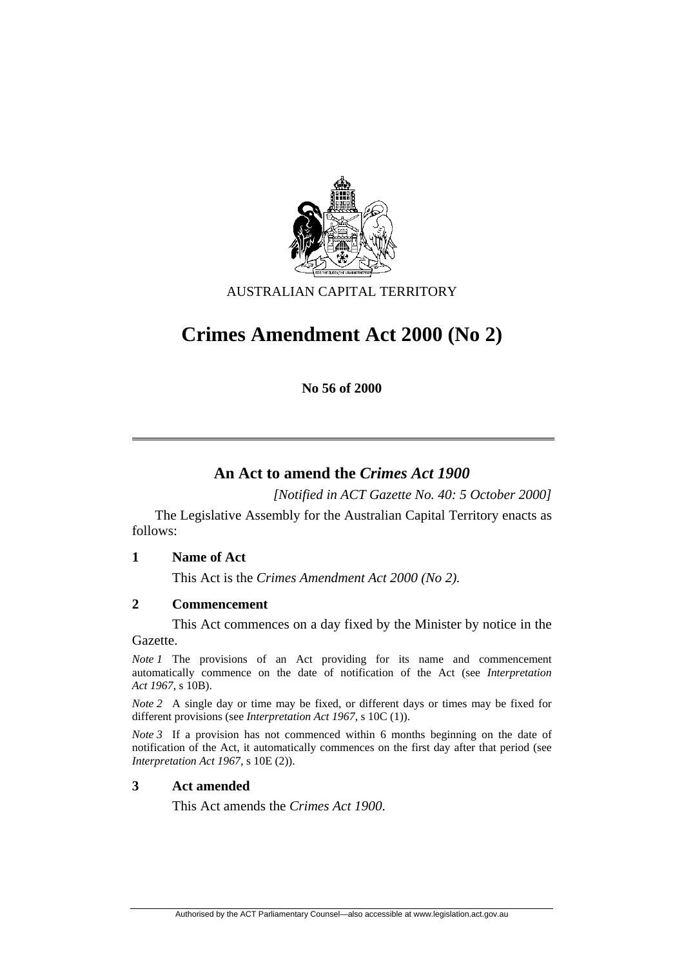

AUSTRALIAN CAPITAL TERRITORY

# **Crimes Amendment Act 2000 (No 2)**

**No 56 of 2000** 

## **An Act to amend the** *Crimes Act 1900*

*[Notified in ACT Gazette No. 40: 5 October 2000]* 

 The Legislative Assembly for the Australian Capital Territory enacts as follows:

#### **1 Name of Act**

This Act is the *Crimes Amendment Act 2000 (No 2).*

#### **2 Commencement**

This Act commences on a day fixed by the Minister by notice in the Gazette.

*Note 1* The provisions of an Act providing for its name and commencement automatically commence on the date of notification of the Act (see *Interpretation Act 1967*, s 10B).

*Note 2* A single day or time may be fixed, or different days or times may be fixed for different provisions (see *Interpretation Act 1967*, s 10C (1)).

*Note 3* If a provision has not commenced within 6 months beginning on the date of notification of the Act, it automatically commences on the first day after that period (see *Interpretation Act 1967*, s 10E (2)).

#### **3 Act amended**

This Act amends the *Crimes Act 1900*.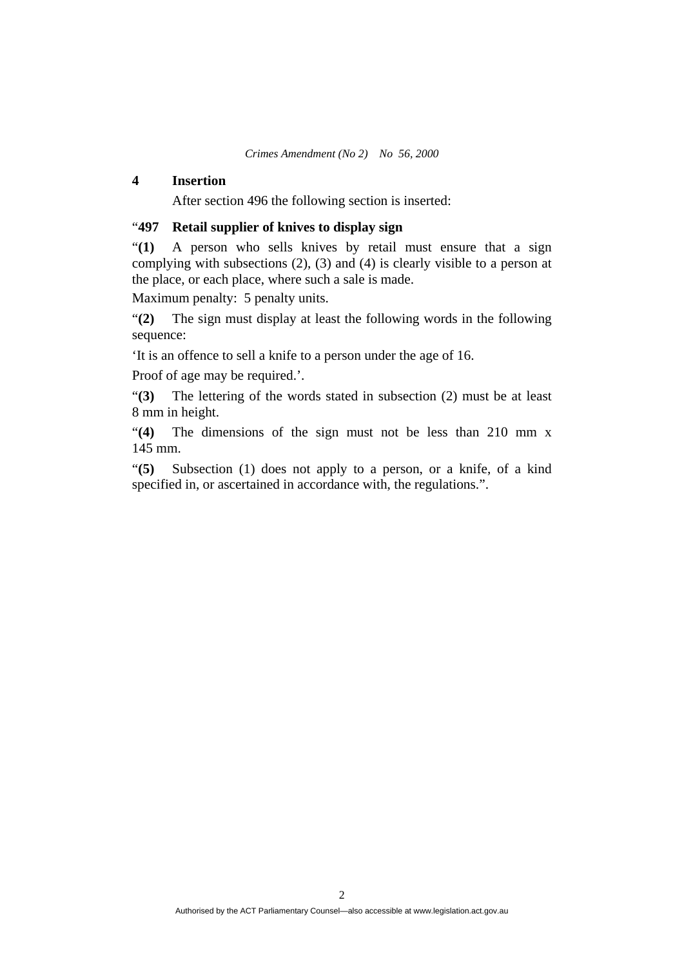#### **4 Insertion**

After section 496 the following section is inserted:

### "**497 Retail supplier of knives to display sign**

"**(1)** A person who sells knives by retail must ensure that a sign complying with subsections (2), (3) and (4) is clearly visible to a person at the place, or each place, where such a sale is made.

Maximum penalty: 5 penalty units.

"**(2)** The sign must display at least the following words in the following sequence:

'It is an offence to sell a knife to a person under the age of 16.

Proof of age may be required.'.

"**(3)** The lettering of the words stated in subsection (2) must be at least 8 mm in height.

"**(4)** The dimensions of the sign must not be less than 210 mm x 145 mm.

"**(5)** Subsection (1) does not apply to a person, or a knife, of a kind specified in, or ascertained in accordance with, the regulations.".